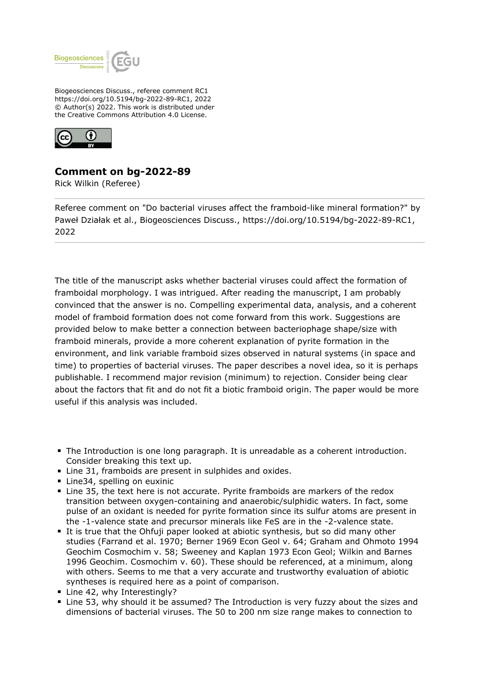

Biogeosciences Discuss., referee comment RC1 https://doi.org/10.5194/bg-2022-89-RC1, 2022 © Author(s) 2022. This work is distributed under the Creative Commons Attribution 4.0 License.



## **Comment on bg-2022-89**

Rick Wilkin (Referee)

Referee comment on "Do bacterial viruses affect the framboid-like mineral formation?" by Paweł Działak et al., Biogeosciences Discuss., https://doi.org/10.5194/bg-2022-89-RC1, 2022

The title of the manuscript asks whether bacterial viruses could affect the formation of framboidal morphology. I was intrigued. After reading the manuscript, I am probably convinced that the answer is no. Compelling experimental data, analysis, and a coherent model of framboid formation does not come forward from this work. Suggestions are provided below to make better a connection between bacteriophage shape/size with framboid minerals, provide a more coherent explanation of pyrite formation in the environment, and link variable framboid sizes observed in natural systems (in space and time) to properties of bacterial viruses. The paper describes a novel idea, so it is perhaps publishable. I recommend major revision (minimum) to rejection. Consider being clear about the factors that fit and do not fit a biotic framboid origin. The paper would be more useful if this analysis was included.

- The Introduction is one long paragraph. It is unreadable as a coherent introduction. Consider breaking this text up.
- **E** Line 31, framboids are present in sulphides and oxides.
- Line34, spelling on euxinic
- Line 35, the text here is not accurate. Pyrite framboids are markers of the redox transition between oxygen-containing and anaerobic/sulphidic waters. In fact, some pulse of an oxidant is needed for pyrite formation since its sulfur atoms are present in the -1-valence state and precursor minerals like FeS are in the -2-valence state.
- It is true that the Ohfuji paper looked at abiotic synthesis, but so did many other studies (Farrand et al. 1970; Berner 1969 Econ Geol v. 64; Graham and Ohmoto 1994 Geochim Cosmochim v. 58; Sweeney and Kaplan 1973 Econ Geol; Wilkin and Barnes 1996 Geochim. Cosmochim v. 60). These should be referenced, at a minimum, along with others. Seems to me that a very accurate and trustworthy evaluation of abiotic syntheses is required here as a point of comparison.
- Line 42, why Interestingly?
- Line 53, why should it be assumed? The Introduction is very fuzzy about the sizes and dimensions of bacterial viruses. The 50 to 200 nm size range makes to connection to